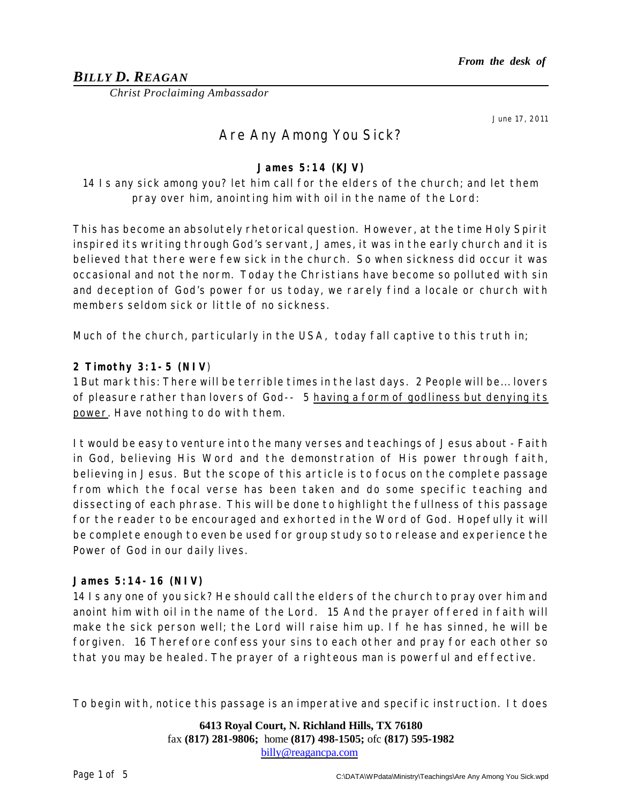# *BILLY D. REAGAN*

*Christ Proclaiming Ambassador*

June 17, 2011

# Are Any Among You Sick?

**James 5:14 (KJV)**

*14 Is any sick among you? let him call for the elders of the church; and let them pray over him, anointing him with oil in the name of the Lord:* 

This has become an absolutely rhetorical question. However, at the time Holy Spirit inspired its writing through God's servant, James, it was in the early church and it is believed that there were few sick in the church. So when sickness did occur it was occasional and not the norm. Today the Christians have become so polluted with sin and deception of God's power for us today, we rarely find a locale or church with members seldom sick or little of no sickness.

Much of the church, particularly in the USA, today fall captive to this truth in;

**2 Timothy 3:1-5 (NIV**)

1 But mark this: There will be terrible times in the last days. 2 People will be... lovers of pleasure rather than lovers of God-- 5 having a form of godliness but denying its power. Have nothing to do with them.

It would be easy to venture into the many verses and teachings of Jesus about - Faith in God, believing His Word and the demonstration of His power through faith, believing in Jesus. But the scope of this article is to focus on the complete passage from which the focal verse has been taken and do some specific teaching and dissecting of each phrase. This will be done to highlight the fullness of this passage for the reader to be encouraged and exhorted in the Word of God. Hopefully it will be complete enough to even be used for group study so to release and experience the Power of God in our daily lives.

#### **James 5:14-16 (NIV)**

14 Is any one of you sick? He should call the elders of the church to pray over him and anoint him with oil in the name of the Lord. 15 And the prayer offered in faith will make the sick person well; the Lord will raise him up. If he has sinned, he will be forgiven. 16 Therefore confess your sins to each other and pray for each other so that you may be healed. The prayer of a righteous man is powerful and effective.

To begin with, notice this passage is an imperative and specific instruction. It does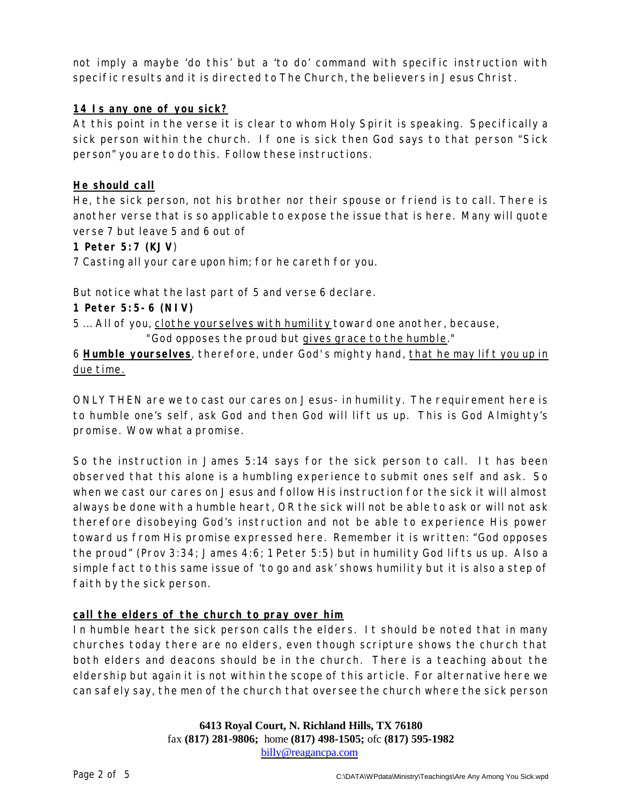not imply a maybe 'do this' but a 'to do' command with specific instruction with specific results and it is directed to The Church, the believers in Jesus Christ.

#### **14 Is any one of you sick?**

At this point in the verse it is clear to whom Holy Spirit is speaking. Specifically a sick person within the church. If one is sick then God says to that person "Sick person" you are to do this. Follow these instructions.

#### **He should call**

He, the sick person, not his brother nor their spouse or friend is to call. There is another verse that is so applicable to expose the issue that is here. Many will quote verse 7 but leave 5 and 6 out of

**1 Peter 5:7 (KJV**)

7 Casting all your care upon him; for he careth for you.

But notice what the last part of 5 and verse 6 declare.

**1 Peter 5:5-6 (NIV)**

5 ... All of you, clothe yourselves with humility toward one another, because, "God opposes the proud but gives grace to the humble."

6 **Humble yourselves**, therefore, under God's mighty hand, that he may lift you up in due time.

ONLY THEN are we to cast our cares on Jesus- in humility. The requirement here is to humble one's self, ask God and then God will lift us up. This is God Almighty's promise. Wow what a promise.

So the instruction in James 5:14 says for the sick person to call. It has been observed that this alone is a humbling experience to submit ones self and ask. So when we cast our cares on Jesus and follow His instruction for the sick it will almost always be done with a humble heart, OR the sick will not be able to ask or will not ask therefore disobeying God's instruction and not be able to experience His power toward us from His promise expressed here. Remember it is written: "God opposes the proud" (Prov 3:34; James 4:6; 1 Peter 5:5) but in humility God lifts us up. Also a simple fact to this same issue of 'to go and ask' shows humility but it is also a step of faith by the sick person.

#### **call the elders of the church to pray over him**

In humble heart the sick person calls the elders. It should be noted that in many churches today there are no elders, even though scripture shows the church that both elders and deacons should be in the church. There is a teaching about the eldership but again it is not within the scope of this article. For alternative here we can safely say, the men of the church that oversee the church where the sick person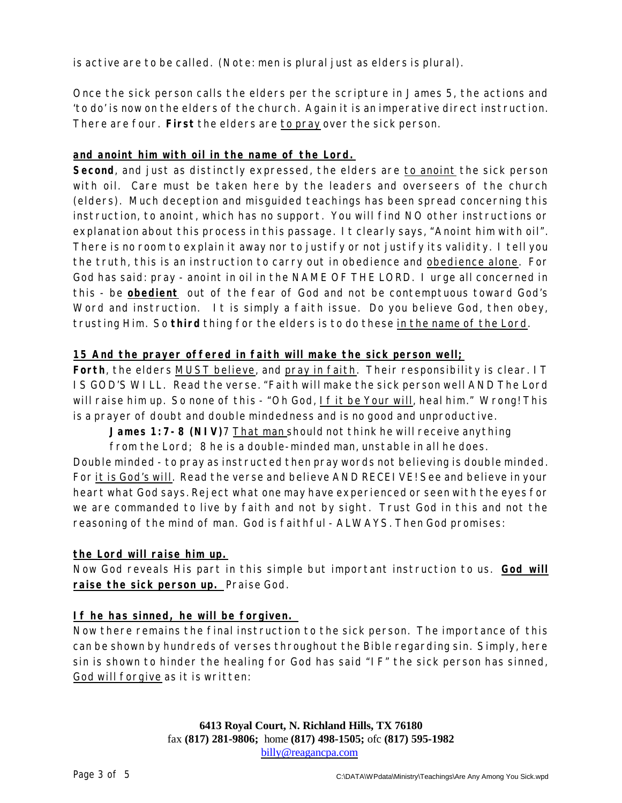is active are to be called. (Note: men is plural just as elders is plural).

Once the sick person calls the elders per the scripture in James 5, the actions and 'to do' is now on the elders of the church. Again it is an imperative direct instruction. There are four. **First** the elders are *to pray* over the sick person.

## **and anoint him with oil in the name of the Lord.**

**Second**, and just as distinctly expressed, the elders are *to anoint* the sick person with oil. Care must be taken here by the leaders and overseers of the church (elders). Much deception and misguided teachings has been spread concerning this instruction, to anoint, which has no support. You will find NO other instructions or explanation about this process in this passage. It clearly says, "Anoint him with oil". There is no room to explain it away nor to justify or not justify its validity. I tell you the truth, this is an instruction to carry out in obedience and obedience alone. For God has said: pray - anoint in oil in the NAME OF THE LORD. I urge all concerned in this - be *obedient* out of the fear of God and not be contemptuous toward God's Word and instruction. It is simply a faith issue. Do you believe God, then obey, trusting Him. So **third** thing for the elders is to do these *in the name of the Lord*.

#### **15 And the prayer offered in faith will make the sick person well;**

**Forth**, the elders *MUST believe*, and *pray in faith*. Their responsibility is clear. IT IS GOD'S WILL. Read the verse. "Faith will make the sick person well AND The Lord will raise him up. So none of this - "Oh God, If it be Your will, heal him." Wrong! This is a prayer of doubt and double mindedness and is no good and unproductive.

**James 1:7-8 (NIV)**7 That man should not think he will receive anything

from the Lord; 8 he is a double-minded man, unstable in all he does.

Double minded - to pray as instructed then pray words not believing is double minded. For it is God's will. Read the verse and believe AND RECEIVE! See and believe in your heart what God says. Reject what one may have experienced or seen with the eyes for we are commanded to live by faith and not by sight. Trust God in this and not the reasoning of the mind of man. God is faithful - ALWAYS. Then God promises:

#### **the Lord will raise him up.**

Now God reveals His part in this simple but important instruction to us. **God will raise the sick person up.** Praise God.

#### **If he has sinned, he will be forgiven.**

Now there remains the final instruction to the sick person. The importance of this can be shown by hundreds of verses throughout the Bible regarding sin. Simply, here sin is shown to hinder the healing for God has said "IF" the sick person has sinned, God will forgive as it is written: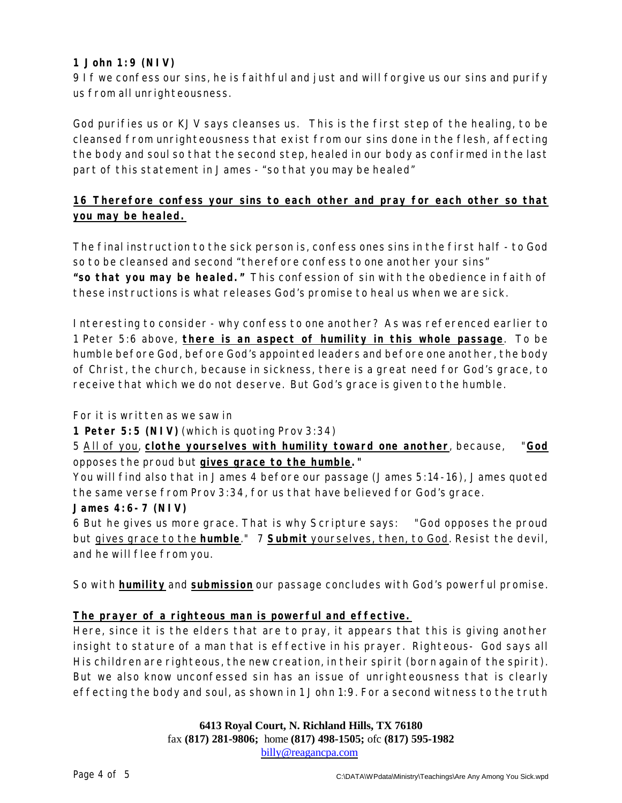# **1 John 1:9 (NIV)**

9 If we confess our sins, he is faithful and just and will forgive us our sins and purify us from all unrighteousness.

God purifies us or KJV says cleanses us. This is the first step of the healing, to be cleansed from unrighteousness that exist from our sins done in the flesh, affecting the body and soul so that the second step, healed in our body as confirmed in the last part of this statement in James - "so that you may be healed"

# **16 Therefore confess your sins to each other and pray for each other so that you may be healed.**

The final instruction to the sick person is, confess ones sins in the first half - to God so to be cleansed and second "therefore confess to one another your sins" **"so that you may be healed."** This confession of sin with the obedience in faith of these instructions is what releases God's promise to heal us when we are sick.

Interesting to consider - why confess to one another? As was referenced earlier to 1 Peter 5:6 above, **there is an aspect of humility in this whole passage**. To be humble before God, before God's appointed leaders and before one another, the body of Christ, the church, because in sickness, there is a great need for God's grace, to receive that which we do not deserve. But God's grace is given to the humble.

For it is written as we saw in

**1 Peter 5:5 (NIV)** (which is quoting Prov 3:34)

5 All of you, **clothe yourselves with humility toward one another**, because, "*God* opposes the proud but *gives grace to the humble***."**

You will find also that in James 4 before our passage (James 5:14-16), James quoted the same verse from Prov 3:34, for us that have believed for God's grace. **James 4:6-7 (NIV)**

6 But he gives us more grace. That is why Scripture says: "God opposes the proud but gives grace to the **humble**." 7 **Submit** yourselves, then, to God. Resist the devil, and he will flee from you.

So with **humility** and **submission** our passage concludes with God's powerful promise.

#### **The prayer of a righteous man is powerful and effective.**

Here, since it is the elders that are to pray, it appears that this is giving another insight to stature of a man that is effective in his prayer. Righteous- God says all His children are righteous, the new creation, in their spirit (born again of the spirit). But we also know unconfessed sin has an issue of unrighteousness that is clearly effecting the body and soul, as shown in 1 John 1:9. For a second witness to the truth